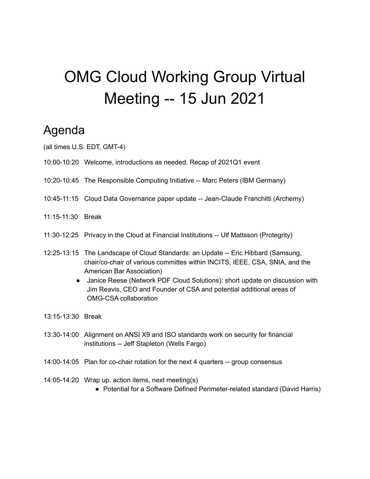# OMG Cloud Working Group Virtual Meeting -- 15 Jun 2021

### Agenda

- (all times U.S. EDT, GMT-4)
- 10:00-10:20 Welcome, introductions as needed. Recap of 2021Q1 event
- 10:20-10:45 The Responsible Computing Initiative -- Marc Peters (IBM Germany)
- 10:45-11:15 Cloud Data Governance paper update -- Jean-Claude Franchitti (Archemy)
- 11:15-11:30 Break
- 11:30-12:25 Privacy in the Cloud at Financial Institutions -- Ulf Mattsson (Protegrity)
- 12:25-13:15 The Landscape of Cloud Standards: an Update -- Eric Hibbard (Samsung, chair/co-chair of various committes within INCITS, IEEE, CSA, SNIA, and the American Bar Association)
	- Janice Reese (Network PDF Cloud Solutions): short update on discussion with Jim Reavis, CEO and Founder of CSA and potential additional areas of OMG-CSA collaboration
- 13:15-13:30 Break
- 13:30-14:00 Alignment on ANSI X9 and ISO standards work on security for financial institutions -- Jeff Stapleton (Wells Fargo)
- 14:00-14:05 Plan for co-chair rotation for the next 4 quarters -- group consensus
- 14:05-14:20 Wrap up, action items, next meeting(s)
	- Potential for a Software Defined Perimeter-related standard (David Harris)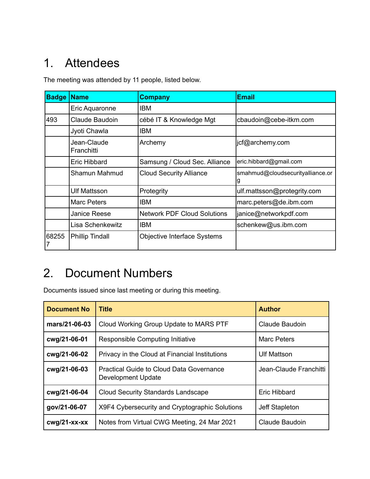# 1. Attendees

The meeting was attended by 11 people, listed below.

| <b>Badge</b> | <b>Name</b>               | <b>Company</b>                     | <b>Email</b>                     |
|--------------|---------------------------|------------------------------------|----------------------------------|
|              | Eric Aquaronne            | <b>IBM</b>                         |                                  |
| 493          | Claude Baudoin            | cébé IT & Knowledge Mgt            | cbaudoin@cebe-itkm.com           |
|              | Jyoti Chawla              | <b>IBM</b>                         |                                  |
|              | Jean-Claude<br>Franchitti | Archemy                            | jcf@archemy.com                  |
|              | Eric Hibbard              | Samsung / Cloud Sec. Alliance      | eric.hibbard@gmail.com           |
|              | Shamun Mahmud             | <b>Cloud Security Alliance</b>     | smahmud@cloudsecurityalliance.or |
|              | Ulf Mattsson              | Protegrity                         | ulf.mattsson@protegrity.com      |
|              | <b>Marc Peters</b>        | <b>IBM</b>                         | marc.peters@de.ibm.com           |
|              | Janice Reese              | <b>Network PDF Cloud Solutions</b> | janice@networkpdf.com            |
|              | Lisa Schenkewitz          | <b>IBM</b>                         | schenkew@us.ibm.com              |
| 68255        | <b>Phillip Tindall</b>    | Objective Interface Systems        |                                  |

## 2. Document Numbers

Documents issued since last meeting or during this meeting.

| <b>Document No</b> | <b>Title</b>                                                          | <b>Author</b>          |
|--------------------|-----------------------------------------------------------------------|------------------------|
| mars/21-06-03      | Cloud Working Group Update to MARS PTF                                | Claude Baudoin         |
| cwg/21-06-01       | Responsible Computing Initiative                                      | Marc Peters            |
| cwg/21-06-02       | Privacy in the Cloud at Financial Institutions                        | <b>Ulf Mattson</b>     |
| cwg/21-06-03       | <b>Practical Guide to Cloud Data Governance</b><br>Development Update | Jean-Claude Franchitti |
| cwg/21-06-04       | <b>Cloud Security Standards Landscape</b>                             | Eric Hibbard           |
| gov/21-06-07       | X9F4 Cybersecurity and Cryptographic Solutions                        | Jeff Stapleton         |
| $cwq/21$ -xx-xx    | Notes from Virtual CWG Meeting, 24 Mar 2021                           | Claude Baudoin         |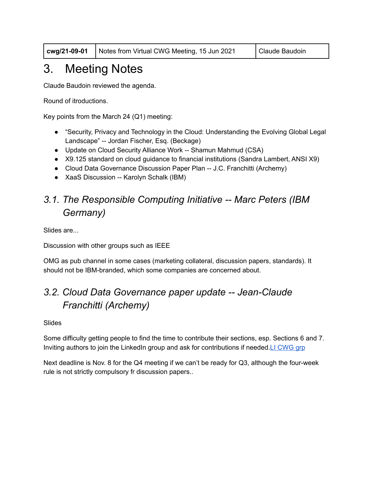**cwg/21-09-01** Notes from Virtual CWG Meeting, 15 Jun 2021 Claude Baudoin

# 3. Meeting Notes

Claude Baudoin reviewed the agenda.

Round of itroductions.

Key points from the March 24 (Q1) meeting:

- "Security, Privacy and Technology in the Cloud: Understanding the Evolving Global Legal Landscape" -- Jordan Fischer, Esq. (Beckage)
- Update on Cloud Security Alliance Work -- Shamun Mahmud (CSA)
- X9.125 standard on cloud quidance to financial institutions (Sandra Lambert, ANSI X9)
- Cloud Data Governance Discussion Paper Plan -- J.C. Franchitti (Archemy)
- XaaS Discussion -- Karolyn Schalk (IBM)

#### *3.1. The Responsible Computing Initiative -- Marc Peters (IBM Germany)*

Slides are...

Discussion with other groups such as IEEE

OMG as pub channel in some cases (marketing collateral, discussion papers, standards). It should not be IBM-branded, which some companies are concerned about.

#### *3.2. Cloud Data Governance paper update -- Jean-Claude Franchitti (Archemy)*

Slides

Some difficulty getting people to find the time to contribute their sections, esp. Sections 6 and 7. Inviting authors to join the LinkedIn group and ask for contributions if needed. LI [CWG](https://www.linkedin.com/groups/3841459/) grp

Next deadline is Nov. 8 for the Q4 meeting if we can't be ready for Q3, although the four-week rule is not strictly compulsory fr discussion papers..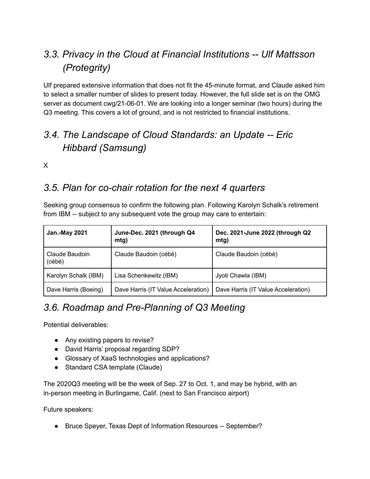#### *3.3. Privacy in the Cloud at Financial Institutions -- Ulf Mattsson (Protegrity)*

Ulf prepared extensive information that does not fit the 45-minute format, and Claude asked him to select a smaller number of slides to present today. However, the full slide set is on the OMG server as document cwg/21-06-01. We are looking into a longer seminar (two hours) during the Q3 meeting. This covers a lot of ground, and is not restricted to financial institutions.

#### *3.4. The Landscape of Cloud Standards: an Update -- Eric Hibbard (Samsung)*

X

#### *3.5. Plan for co-chair rotation for the next 4 quarters*

Seeking group consensus to confirm the following plan. Following Karolyn Schalk's retirement from IBM -- subject to any subsequent vote the group may care to entertain:

| <b>Jan.-May 2021</b>     | June-Dec. 2021 (through Q4<br>mtg)  | Dec. 2021-June 2022 (through Q2<br>m(g) |
|--------------------------|-------------------------------------|-----------------------------------------|
| Claude Baudoin<br>(cébé) | Claude Baudoin (cébé)               | Claude Baudoin (cébé)                   |
| Karolyn Schalk (IBM)     | Lisa Schenkewitz (IBM)              | Jyoti Chawla (IBM)                      |
| Dave Harris (Boeing)     | Dave Harris (IT Value Acceleration) | Dave Harris (IT Value Acceleration)     |

#### *3.6. Roadmap and Pre-Planning of Q3 Meeting*

Potential deliverables:

- Any existing papers to revise?
- David Harris' proposal regarding SDP?
- Glossary of XaaS technologies and applications?
- Standard CSA template (Claude)

The 2020Q3 meeting will be the week of Sep. 27 to Oct. 1, and may be hybrid, with an in-person meeting in Burlingame, Calif. (next to San Francisco airport)

Future speakers:

● Bruce Speyer, Texas Dept of Information Resources -- September?